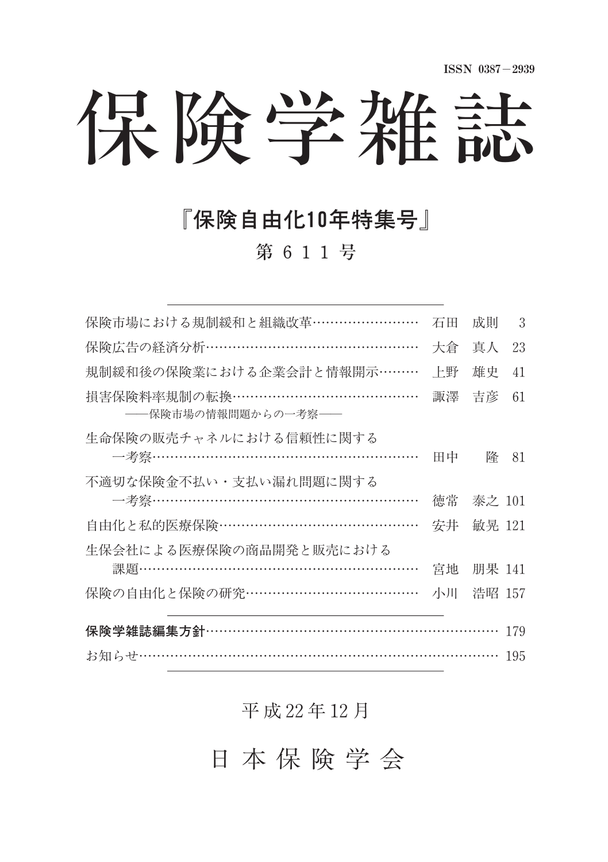保険学雑誌

## 『保険自由化10年特集号』

第 611号

| 保険市場における規制緩和と組織改革……………………                          | 石田 | 成則     | 3  |  |
|----------------------------------------------------|----|--------|----|--|
| 保険広告の経済分析…………………………………………                          | 大倉 | 真人     | 23 |  |
| 規制緩和後の保険業における企業会計と情報開示………                          | 上野 | 雄史     | 41 |  |
| 損害保険料率規制の転換…………………………………<br>――保険市場の情報問題からの一考察――    | 諏澤 | 吉彦     | 61 |  |
| 生命保険の販売チャネルにおける信頼性に関する<br>—考察……………………………………………………  | 田中 | 降      | 81 |  |
| 不適切な保険金不払い・支払い漏れ問題に関する<br>—考察……………………………………………………  | 徳常 | 泰之 101 |    |  |
| 自由化と私的医療保険………………………………………                          | 安井 | 敏晃 121 |    |  |
| 生保会社による医療保険の商品開発と販売における<br>課題……………………………………………………… | 宮地 | 朋果 141 |    |  |
| 保険の自由化と保険の研究…………………………………                          | 小川 | 浩昭 157 |    |  |
| 保険学雑誌編集方針………………………………………………………                     |    |        |    |  |
| お知らせ…………………………………………………………………… 195                 |    |        |    |  |

### 平 成 22年 12月

日 本 保 険 学 会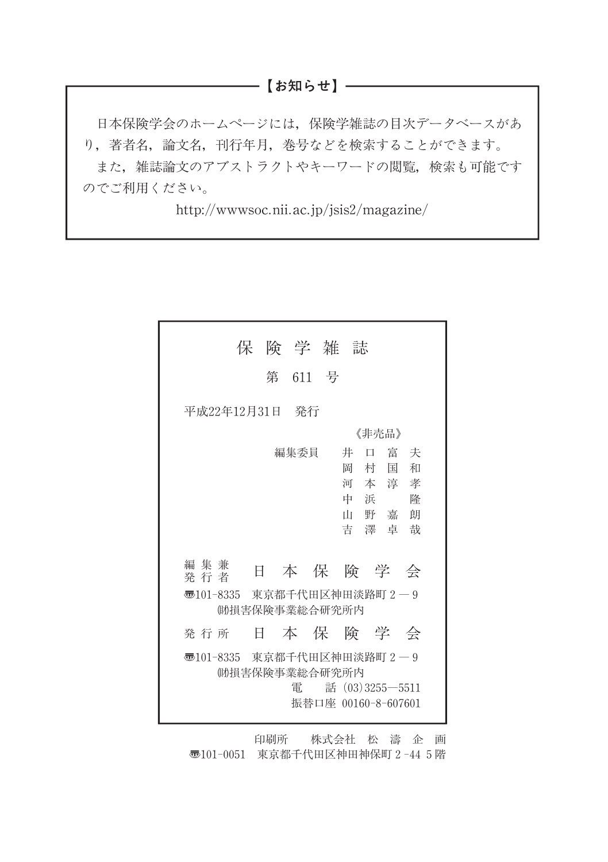#### ───【お知らせ】──

日本保険学会のホームページには,保険学雑誌の目次データベースがあ り,著者名,論文名,刊行年月,巻号などを検索することができます。 また、雑誌論文のアブストラクトやキーワードの閲覧、検索も可能です のでご利用ください。

http://wwwsoc.nii.ac.jp/jsis2/magazine/

|                                                                                                | 保険学雑誌 |         |  |                                                 |                      |  |
|------------------------------------------------------------------------------------------------|-------|---------|--|-------------------------------------------------|----------------------|--|
|                                                                                                |       | 第 611 号 |  |                                                 |                      |  |
| 平成22年12月31日 発行                                                                                 |       |         |  |                                                 |                      |  |
| 《非壳品》                                                                                          |       |         |  |                                                 |                      |  |
| 編集兼<br>発行者<br>零101-8335 東京都千代田区神田淡路町2―9                                                        | 日     | 編集委員    |  | 井<br>岡 村<br>河本淳孝<br>中浜<br>山野嘉朗<br>吉澤卓哉<br>本保険学会 | 口 富 夫<br>和<br>国<br>降 |  |
| (助損害保険事業総合研究所内                                                                                 |       |         |  |                                                 |                      |  |
| 発 行 所                                                                                          |       |         |  | 日本保険学会                                          |                      |  |
| 零101-8335 東京都千代田区神田淡路町2―9<br>(助損害保険事業総合研究所内<br>雷<br>話 $(03)3255 - 5511$<br>振替口座 00160-8-607601 |       |         |  |                                                 |                      |  |

印刷所 株式会社 松 濤 企 画 〠101-0051 東京都千代田区神田神保町2-445階